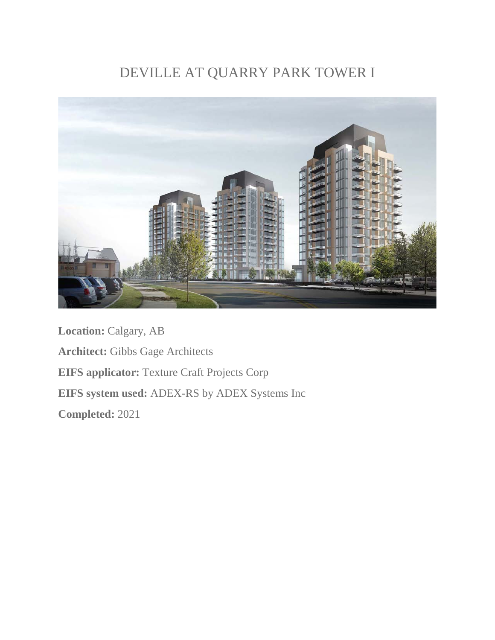## DEVILLE AT QUARRY PARK TOWER I



**Location:** Calgary, AB **Architect:** Gibbs Gage Architects **EIFS applicator:** Texture Craft Projects Corp **EIFS system used:** ADEX-RS by ADEX Systems Inc **Completed:** 2021